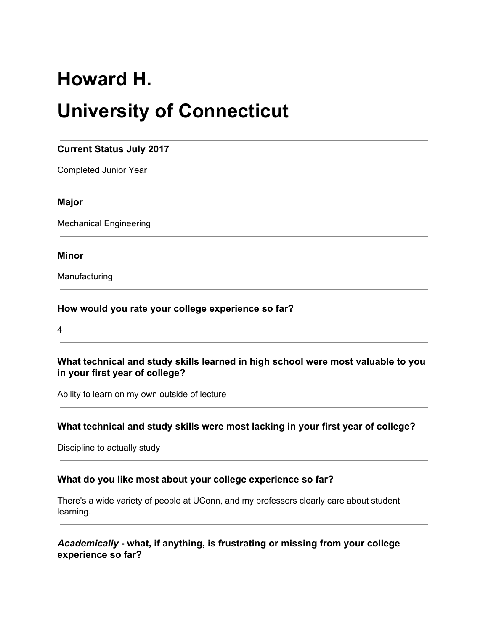# **Howard H.**

# **University of Connecticut**

# **Current Status July 2017**

Completed Junior Year

#### **Major**

Mechanical Engineering

#### **Minor**

Manufacturing

#### **How would you rate your college experience so far?**

4

#### **What technical and study skills learned in high school were most valuable to you in your first year of college?**

Ability to learn on my own outside of lecture

#### **What technical and study skills were most lacking in your first year of college?**

Discipline to actually study

#### **What do you like most about your college experience so far?**

There's a wide variety of people at UConn, and my professors clearly care about student learning.

## *Academically* **- what, if anything, is frustrating or missing from your college experience so far?**